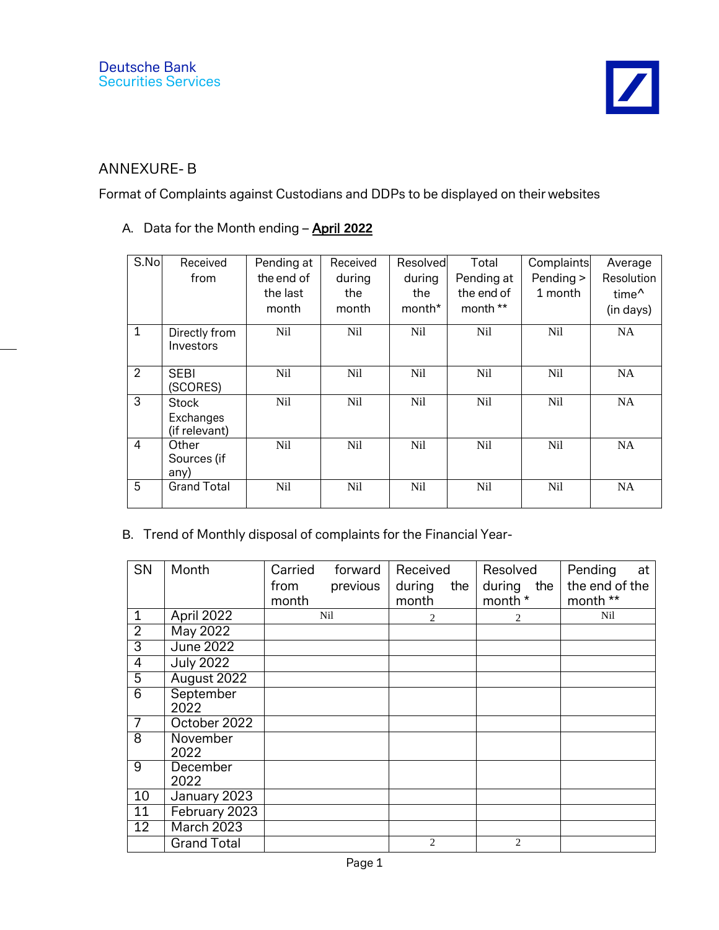## ANNEXURE- B

Format of Complaints against Custodians and DDPs to be displayed on their websites

## A. Data for the Month ending – April **2022**

| S.No           | Received<br>from                           | Pending at<br>the end of<br>the last<br>month | Received<br>during<br>the<br>month | Resolved<br>during<br>the<br>month <sup>*</sup> | Total<br>Pending at<br>the end of<br>month ** | Complaints<br>Pending ><br>1 month | Average<br>Resolution<br>time <sup>^</sup><br>(in days) |
|----------------|--------------------------------------------|-----------------------------------------------|------------------------------------|-------------------------------------------------|-----------------------------------------------|------------------------------------|---------------------------------------------------------|
| $\mathbf{1}$   | Directly from<br>Investors                 | N <sub>il</sub>                               | N <sub>il</sub>                    | Nil                                             | Nil                                           | Nil                                | NA                                                      |
| $\overline{2}$ | <b>SEBI</b><br>(SCORES)                    | Nil                                           | N <sub>il</sub>                    | Nil                                             | Nil                                           | N <sub>il</sub>                    | <b>NA</b>                                               |
| 3              | <b>Stock</b><br>Exchanges<br>(if relevant) | Nil                                           | N <sub>il</sub>                    | Nil                                             | Nil                                           | Nil                                | <b>NA</b>                                               |
| $\overline{4}$ | Other<br>Sources (if<br>any)               | N <sub>il</sub>                               | N <sub>il</sub>                    | Nil                                             | N <sub>il</sub>                               | N <sub>il</sub>                    | <b>NA</b>                                               |
| 5              | <b>Grand Total</b>                         | N <sub>il</sub>                               | N <sub>il</sub>                    | N <sub>il</sub>                                 | N <sub>il</sub>                               | N <sub>il</sub>                    | <b>NA</b>                                               |

## B. Trend of Monthly disposal of complaints for the Financial Year-

| SN              | Month              | Carried<br>from<br>month | forward<br>previous | Received<br>during<br>month | the | Resolved<br>during the<br>month * | Pending<br>at<br>the end of the<br>month ** |
|-----------------|--------------------|--------------------------|---------------------|-----------------------------|-----|-----------------------------------|---------------------------------------------|
| $\mathbf{1}$    | April 2022         |                          | Nil                 | $\overline{2}$              |     | 2                                 | Nil                                         |
| $\overline{2}$  | May 2022           |                          |                     |                             |     |                                   |                                             |
| $\overline{3}$  | <b>June 2022</b>   |                          |                     |                             |     |                                   |                                             |
| $\overline{4}$  | <b>July 2022</b>   |                          |                     |                             |     |                                   |                                             |
| $\overline{5}$  | August 2022        |                          |                     |                             |     |                                   |                                             |
| $\overline{6}$  | September<br>2022  |                          |                     |                             |     |                                   |                                             |
| $\overline{7}$  | October 2022       |                          |                     |                             |     |                                   |                                             |
| 8               | November<br>2022   |                          |                     |                             |     |                                   |                                             |
| 9               | December<br>2022   |                          |                     |                             |     |                                   |                                             |
| 10              | January 2023       |                          |                     |                             |     |                                   |                                             |
| 11              | February 2023      |                          |                     |                             |     |                                   |                                             |
| $\overline{12}$ | March 2023         |                          |                     |                             |     |                                   |                                             |
|                 | <b>Grand Total</b> |                          |                     | 2                           |     | $\overline{2}$                    |                                             |